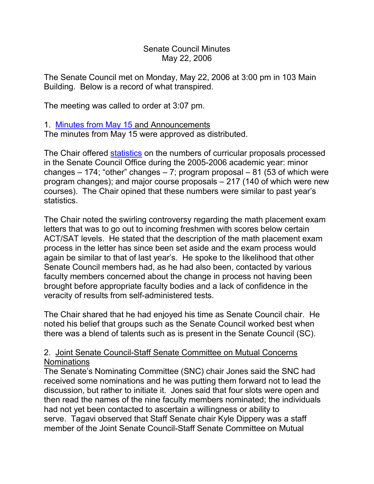### Senate Council Minutes May 22, 2006

The Senate Council met on Monday, May 22, 2006 at 3:00 pm in 103 Main Building. Below is a record of what transpired.

The meeting was called to order at 3:07 pm.

## 1. [Minutes from May 15](http://www.uky.edu/USC/New/SCMinutes/2005-2006/SC%20Minutes%20May%2015%202006%20FINAL.htm) and Announcements

The minutes from May 15 were approved as distributed.

The Chair offered [statistics](http://www.uky.edu/USC/New/SCAgendas/20060522/05-06%20SC%20Stats.pdf) on the numbers of curricular proposals processed in the Senate Council Office during the 2005-2006 academic year: minor changes  $-174$ ; "other" changes  $-7$ ; program proposal  $-81$  (53 of which were program changes); and major course proposals – 217 (140 of which were new courses). The Chair opined that these numbers were similar to past year's statistics.

The Chair noted the swirling controversy regarding the math placement exam letters that was to go out to incoming freshmen with scores below certain ACT/SAT levels. He stated that the description of the math placement exam process in the letter has since been set aside and the exam process would again be similar to that of last year's. He spoke to the likelihood that other Senate Council members had, as he had also been, contacted by various faculty members concerned about the change in process not having been brought before appropriate faculty bodies and a lack of confidence in the veracity of results from self-administered tests.

The Chair shared that he had enjoyed his time as Senate Council chair. He noted his belief that groups such as the Senate Council worked best when there was a blend of talents such as is present in the Senate Council (SC).

# 2. Joint Senate Council-Staff Senate Committee on Mutual Concerns Nominations

The Senate's Nominating Committee (SNC) chair Jones said the SNC had received some nominations and he was putting them forward not to lead the discussion, but rather to initiate it. Jones said that four slots were open and then read the names of the nine faculty members nominated; the individuals had not yet been contacted to ascertain a willingness or ability to serve. Tagavi observed that Staff Senate chair Kyle Dippery was a staff member of the Joint Senate Council-Staff Senate Committee on Mutual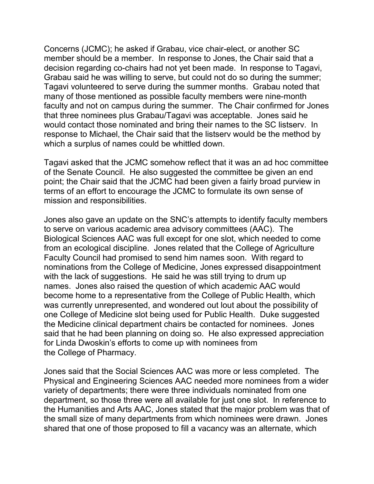Concerns (JCMC); he asked if Grabau, vice chair-elect, or another SC member should be a member. In response to Jones, the Chair said that a decision regarding co-chairs had not yet been made. In response to Tagavi, Grabau said he was willing to serve, but could not do so during the summer; Tagavi volunteered to serve during the summer months. Grabau noted that many of those mentioned as possible faculty members were nine-month faculty and not on campus during the summer. The Chair confirmed for Jones that three nominees plus Grabau/Tagavi was acceptable. Jones said he would contact those nominated and bring their names to the SC listserv. In response to Michael, the Chair said that the listserv would be the method by which a surplus of names could be whittled down.

Tagavi asked that the JCMC somehow reflect that it was an ad hoc committee of the Senate Council. He also suggested the committee be given an end point; the Chair said that the JCMC had been given a fairly broad purview in terms of an effort to encourage the JCMC to formulate its own sense of mission and responsibilities.

Jones also gave an update on the SNC's attempts to identify faculty members to serve on various academic area advisory committees (AAC). The Biological Sciences AAC was full except for one slot, which needed to come from an ecological discipline. Jones related that the College of Agriculture Faculty Council had promised to send him names soon. With regard to nominations from the College of Medicine, Jones expressed disappointment with the lack of suggestions. He said he was still trying to drum up names. Jones also raised the question of which academic AAC would become home to a representative from the College of Public Health, which was currently unrepresented, and wondered out lout about the possibility of one College of Medicine slot being used for Public Health. Duke suggested the Medicine clinical department chairs be contacted for nominees. Jones said that he had been planning on doing so. He also expressed appreciation for Linda Dwoskin's efforts to come up with nominees from the College of Pharmacy.

Jones said that the Social Sciences AAC was more or less completed. The Physical and Engineering Sciences AAC needed more nominees from a wider variety of departments; there were three individuals nominated from one department, so those three were all available for just one slot. In reference to the Humanities and Arts AAC, Jones stated that the major problem was that of the small size of many departments from which nominees were drawn. Jones shared that one of those proposed to fill a vacancy was an alternate, which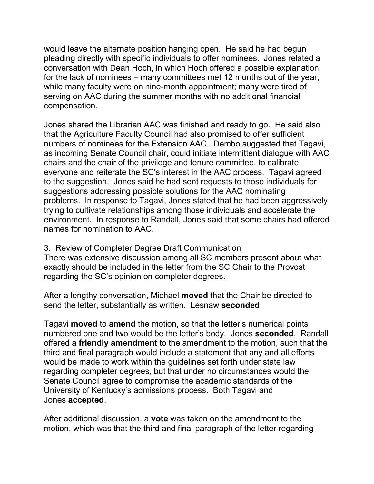would leave the alternate position hanging open. He said he had begun pleading directly with specific individuals to offer nominees. Jones related a conversation with Dean Hoch, in which Hoch offered a possible explanation for the lack of nominees – many committees met 12 months out of the year, while many faculty were on nine-month appointment; many were tired of serving on AAC during the summer months with no additional financial compensation.

Jones shared the Librarian AAC was finished and ready to go. He said also that the Agriculture Faculty Council had also promised to offer sufficient numbers of nominees for the Extension AAC. Dembo suggested that Tagavi, as incoming Senate Council chair, could initiate intermittent dialogue with AAC chairs and the chair of the privilege and tenure committee, to calibrate everyone and reiterate the SC's interest in the AAC process. Tagavi agreed to the suggestion. Jones said he had sent requests to those individuals for suggestions addressing possible solutions for the AAC nominating problems. In response to Tagavi, Jones stated that he had been aggressively trying to cultivate relationships among those individuals and accelerate the environment. In response to Randall, Jones said that some chairs had offered names for nomination to AAC.

### 3. Review of Completer Degree Draft Communication

There was extensive discussion among all SC members present about what exactly should be included in the letter from the SC Chair to the Provost regarding the SC's opinion on completer degrees.

After a lengthy conversation, Michael **moved** that the Chair be directed to send the letter, substantially as written. Lesnaw **seconded**.

Tagavi **moved** to **amend** the motion, so that the letter's numerical points numbered one and two would be the letter's body. Jones **seconded**. Randall offered a **friendly amendment** to the amendment to the motion, such that the third and final paragraph would include a statement that any and all efforts would be made to work within the guidelines set forth under state law regarding completer degrees, but that under no circumstances would the Senate Council agree to compromise the academic standards of the University of Kentucky's admissions process. Both Tagavi and Jones **accepted**.

After additional discussion, a **vote** was taken on the amendment to the motion, which was that the third and final paragraph of the letter regarding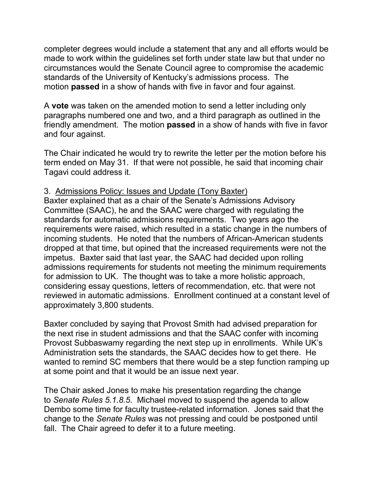completer degrees would include a statement that any and all efforts would be made to work within the guidelines set forth under state law but that under no circumstances would the Senate Council agree to compromise the academic standards of the University of Kentucky's admissions process. The motion **passed** in a show of hands with five in favor and four against.

A **vote** was taken on the amended motion to send a letter including only paragraphs numbered one and two, and a third paragraph as outlined in the friendly amendment. The motion **passed** in a show of hands with five in favor and four against.

The Chair indicated he would try to rewrite the letter per the motion before his term ended on May 31. If that were not possible, he said that incoming chair Tagavi could address it.

## 3. Admissions Policy: Issues and Update (Tony Baxter)

Baxter explained that as a chair of the Senate's Admissions Advisory Committee (SAAC), he and the SAAC were charged with regulating the standards for automatic admissions requirements. Two years ago the requirements were raised, which resulted in a static change in the numbers of incoming students. He noted that the numbers of African-American students dropped at that time, but opined that the increased requirements were not the impetus. Baxter said that last year, the SAAC had decided upon rolling admissions requirements for students not meeting the minimum requirements for admission to UK. The thought was to take a more holistic approach, considering essay questions, letters of recommendation, etc. that were not reviewed in automatic admissions. Enrollment continued at a constant level of approximately 3,800 students.

Baxter concluded by saying that Provost Smith had advised preparation for the next rise in student admissions and that the SAAC confer with incoming Provost Subbaswamy regarding the next step up in enrollments. While UK's Administration sets the standards, the SAAC decides how to get there. He wanted to remind SC members that there would be a step function ramping up at some point and that it would be an issue next year.

The Chair asked Jones to make his presentation regarding the change to *Senate Rules 5.1.8.5*. Michael moved to suspend the agenda to allow Dembo some time for faculty trustee-related information. Jones said that the change to the *Senate Rules* was not pressing and could be postponed until fall. The Chair agreed to defer it to a future meeting.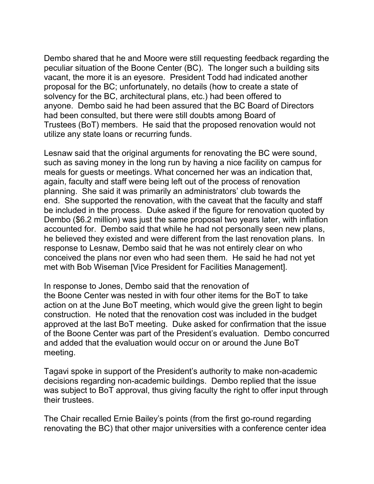Dembo shared that he and Moore were still requesting feedback regarding the peculiar situation of the Boone Center (BC). The longer such a building sits vacant, the more it is an eyesore. President Todd had indicated another proposal for the BC; unfortunately, no details (how to create a state of solvency for the BC, architectural plans, etc.) had been offered to anyone. Dembo said he had been assured that the BC Board of Directors had been consulted, but there were still doubts among Board of Trustees (BoT) members. He said that the proposed renovation would not utilize any state loans or recurring funds.

Lesnaw said that the original arguments for renovating the BC were sound, such as saving money in the long run by having a nice facility on campus for meals for guests or meetings. What concerned her was an indication that, again, faculty and staff were being left out of the process of renovation planning. She said it was primarily an administrators' club towards the end. She supported the renovation, with the caveat that the faculty and staff be included in the process. Duke asked if the figure for renovation quoted by Dembo (\$6.2 million) was just the same proposal two years later, with inflation accounted for. Dembo said that while he had not personally seen new plans, he believed they existed and were different from the last renovation plans. In response to Lesnaw, Dembo said that he was not entirely clear on who conceived the plans nor even who had seen them. He said he had not yet met with Bob Wiseman [Vice President for Facilities Management].

In response to Jones, Dembo said that the renovation of the Boone Center was nested in with four other items for the BoT to take action on at the June BoT meeting, which would give the green light to begin construction. He noted that the renovation cost was included in the budget approved at the last BoT meeting. Duke asked for confirmation that the issue of the Boone Center was part of the President's evaluation. Dembo concurred and added that the evaluation would occur on or around the June BoT meeting.

Tagavi spoke in support of the President's authority to make non-academic decisions regarding non-academic buildings. Dembo replied that the issue was subject to BoT approval, thus giving faculty the right to offer input through their trustees.

The Chair recalled Ernie Bailey's points (from the first go-round regarding renovating the BC) that other major universities with a conference center idea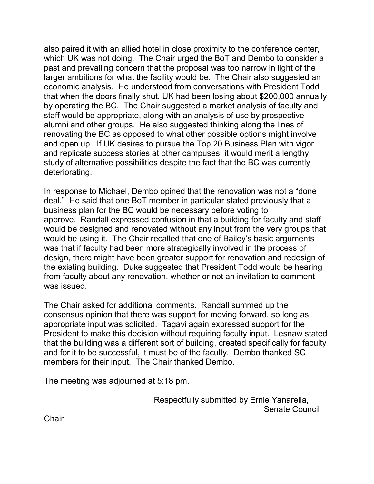also paired it with an allied hotel in close proximity to the conference center, which UK was not doing. The Chair urged the BoT and Dembo to consider a past and prevailing concern that the proposal was too narrow in light of the larger ambitions for what the facility would be. The Chair also suggested an economic analysis. He understood from conversations with President Todd that when the doors finally shut, UK had been losing about \$200,000 annually by operating the BC. The Chair suggested a market analysis of faculty and staff would be appropriate, along with an analysis of use by prospective alumni and other groups. He also suggested thinking along the lines of renovating the BC as opposed to what other possible options might involve and open up. If UK desires to pursue the Top 20 Business Plan with vigor and replicate success stories at other campuses, it would merit a lengthy study of alternative possibilities despite the fact that the BC was currently deteriorating.

In response to Michael, Dembo opined that the renovation was not a "done deal." He said that one BoT member in particular stated previously that a business plan for the BC would be necessary before voting to approve. Randall expressed confusion in that a building for faculty and staff would be designed and renovated without any input from the very groups that would be using it. The Chair recalled that one of Bailey's basic arguments was that if faculty had been more strategically involved in the process of design, there might have been greater support for renovation and redesign of the existing building. Duke suggested that President Todd would be hearing from faculty about any renovation, whether or not an invitation to comment was issued.

The Chair asked for additional comments. Randall summed up the consensus opinion that there was support for moving forward, so long as appropriate input was solicited. Tagavi again expressed support for the President to make this decision without requiring faculty input. Lesnaw stated that the building was a different sort of building, created specifically for faculty and for it to be successful, it must be of the faculty. Dembo thanked SC members for their input. The Chair thanked Dembo.

The meeting was adjourned at 5:18 pm.

Respectfully submitted by Ernie Yanarella, Senate Council

**Chair**